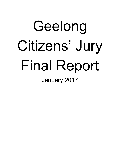# Geelong Citizens' Jury Final Report January 2017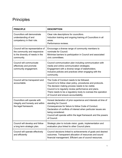# Principles

| <b>PRINCIPLE</b>                                                                                                    | <b>DESCRIPTION</b>                                                                                                                                                                                                                                                                                                              |
|---------------------------------------------------------------------------------------------------------------------|---------------------------------------------------------------------------------------------------------------------------------------------------------------------------------------------------------------------------------------------------------------------------------------------------------------------------------|
| Councillors will demonstrate<br>understanding of and<br>competency in their role.                                   | Clear role descriptions for councillors.<br>Induction training and ongoing training of Councillors in all<br>areas.<br>Performance reviews.                                                                                                                                                                                     |
| Council will be representative of<br>the community and responsive<br>to the diversity of needs in the<br>community. | Encourage a diverse range of community members to<br>nominate for Council.<br>Minimise barriers to participation in Council and associated<br>civic committees.                                                                                                                                                                 |
| Council will communicate<br>effectively and promote<br>community engagement.                                        | Council communication plan including communication with<br>media and online communication strategies.<br>Engagement with a diverse range of stakeholders.<br>Inclusive policies and practices when engaging with the<br>community.                                                                                              |
| Council will be transparent and<br>accountable.                                                                     | The Code of Conduct needs to be followed.<br>Council is to follow clear policy, procedures and protocols.<br>The decision making process needs to be visible.<br>Council is to regularly review performance and plans.<br>There needs to be a regulatory body to oversee the operation<br>of Council and ensure accountability. |
| Councillors will operate with<br>integrity and honesty and within<br>the legal framework.                           | Honest declaration of prior experience and interests at time of<br>standing for Council.<br>Consequences for failure to follow Code of Conduct.<br>Declaration of conflicts of interest when particular issues are<br>being considered.<br>Council will operate within the legal framework and the powers<br>of Council.        |
| Council will develop and follow<br>a long term strategic plan.                                                      | Strategic plan to include vision, goals, implementation and<br>evaluation plus linked to other Council plans.                                                                                                                                                                                                                   |
| Council will operate effectively<br>and efficiently                                                                 | Council decisions linked to achievements of goals and desired<br>outcomes. Transparent allocation of resources and sound<br>financial management. Efficient use of council resources.                                                                                                                                           |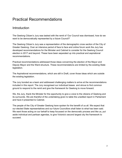# Practical Recommendations

# Introduction

The Geelong Citizen's Jury was tasked with the remit of 'Our Council was dismissed, how do we want to be democratically represented by a future Council?'

The Geelong Citizen's Jury was a representation of the demographic cross section of the City of Greater Geelong. Over an intensive period of face to face and online forum work the Jury has developed recommendations for the Minister and Cabinet to consider for the Geelong Council election in 2017 and beyond. These have been separated up into practical and aspirational recommendations.

Practical recommendations addressed those ideas concerning the election of the Mayor and Deputy Mayor and the Ward structure. These recommendations are limited by the existing State legislation.

The Aspirational recommendations, which are still in Draft, cover those ideas which are outside the existing legislation.

The Jury bonded as a team and addressed challenging matters to arrive at the recommendations included in this report. The Jury recognised our individual biases and strove to find common ground to respond to the remit and give the framework for Geelong to move forward.

We, the Jury, thank the Minister for the opportunity to give a voice to the citizens of Geelong and its surrounds. We are thankful of the undertaking given to table the unedited report in Parliament and have it presented to Cabinet.

The people of the City of Greater Geelong have spoken for the benefit of us all. We expect that our elected State representatives and our future Councillors shall listen to what has been said. We want those acting on our behalf to keep focussed on the democratic process and like us, put aside individual and partisan agendas, to give Victoria's second largest city the framework to succeed.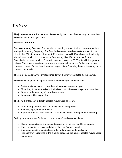# The Mayor

The jury recommends that the mayor is elected by the council from among the councillors. They should serve a 2 year term.

#### **Practical Conditions**

**Decision Making Process:** The decision on electing a mayor took us considerable time, and opinions swung frequently. The final decision was based on a rating scale of Love It, Like It, Live With It, Lament It, Loathe It. 79% voted 'Live With It' or above for the directly elected Mayor option, in comparison to 84% voting 'Live With It' or above for the Council-elected Mayor option. Prior to this we had close to a 50:50 vote with the 'yes / no' options. There was a significant group who were undecided unless further aspirational changes occurred for the directly-elected mayor option. Clarifying these options may have changed the results.

Therefore, by majority, the jury recommends that the mayor is elected by the council.

The key advantages of voting for a council-elected mayor were as follows:

- Better relationships with councillors with greater internal support
- More likely to be a cohesive unit with less conflict between mayor and councillors
- Greater understanding of council operations
- Less susceptible to populism

The key advantages of a directly-elected mayor were as follows:

- Greater engagement from community in the voting process
- Symbolic figurehead for the city
- A greater mandate from the whole community to drive the agenda for Geelong

Both options were voted for based on a number of conditions as follows:

- Roles, responsibilities and accountabilities for all parties need to be clarified
- Public education on roles and duties of mayor / councillors etc.
- Enforceable code of conduct and a defined process for its application
- Transparency is required in the election process if the council-elected mayor option is pursued.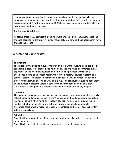It was decided by the Jury that the Mayor serves a two-year term, and is eligible for re-election as opposed to a four year term. This was agreed on the 'live with it scale' with percentages of 82% for two year term and 69% for a 4 year term. One year terms for the mayor were ruled out by the jury.

#### **Aspirational Conditions**

As stated, there was a significant group who were undecided unless further aspirational changes occurred for the directly-elected mayor option. Clarifying these options may have changed the results.

# Wards and Councillors

#### **The Result:**

The citizens jury agreed as a 'super majority' on a four ward structure, comprising of 11 councillors in total. We suggest these wards be divided into rough geographical areas, dependent on the electoral population of the areas. The proposed wards would encompass the Bellarine coastal region, the Northern region, suburban Geelong and central Geelong. The preferred distribution of councillors would be three in each ward except for central Geelong, which would have two. This distribution would be dependent on the number of electoral voters in each ward as per current electoral legislation. It is worthwhile noting that this proposal received more than 90% of jury support.

#### **Rationale:**

This structure would provide multiple local voices in each ward to represent the diversity of local needs and interests in each area. We decided on the odd number of councillors to avoid deadlocks when voting on issues. In addition, we agreed the greater region needed to be broken up into wards, but fewer wards with multiple members to encourage collaboration, increase broader representation and greater accessibility for voters to councillors.

#### **Principles:**

Council will be representative of the community and responsive to the diverse needs of the community.

Councill will communicate effectively and promote community engagement.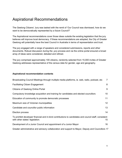# Aspirational Recommendations

The Geelong Citizens' Jury was tasked with the remit of 'Our Council was dismissed, how do we want to be democratically represented by a future Council?'

The Aspirational recommendations cover those ideas outside the existing legislation that the jury believes will improve local democracy. If these recommendations are adopted, the City of Greater Geelong will potentially have the best Council in Australia in terms of representation and trust.

The jury engaged with a range of speakers and considered submissions, reports and other documents. Robust discussion during the .jury process and via the online portal ensured a broad array of ideas were considered, debated and refined.

The jury comprised approximately 100 citizens, randomly selected from 15,000 invites of Greater Geelong addresses representative of the census data for gender, age and geography.

#### **Aspirational recommendation contents**

| Broadcasting Council Meetings through multiple media platforms, ie. web, radio, podcast, etc                                             | $\overline{7}$  |  |
|------------------------------------------------------------------------------------------------------------------------------------------|-----------------|--|
| <b>Facilitating Citizen Engagement</b>                                                                                                   | 8               |  |
| <b>Citizens of Geelong Online Portal</b>                                                                                                 | 9               |  |
| Compulsory knowledge acquisition and training for candidates and elected councillors                                                     | 10              |  |
| Education of community to promote democratic processes                                                                                   | 11              |  |
| Maximum size of Victorian municipalities                                                                                                 | 12 <sub>2</sub> |  |
| Candidate and councillor public information                                                                                              | 13              |  |
| Election process                                                                                                                         | 14              |  |
| To prohibit developer financial and in-kind contributions to candidates and council staff, consistent<br>with other states' legislation. | $15\,$          |  |
| Development of a Junior Council and appointment of a Junior Mayor                                                                        | 16              |  |
| Greater administrative and advisory collaboration and support to Mayor, Deputy and Councillors 17                                        |                 |  |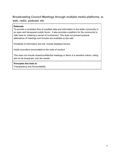# <span id="page-6-0"></span>**Broadcasting Council Meetings through multiple media platforms, ie. web, radio, podcast, etc**

#### **Rationale**

To provide a consistent flow of unedited data and information to the wider community in an open and transparent public forum. It also provides a platform for the community to refer back to, fostering a sense of involvement. This does not prevent physical attendance of meetings and minutes are available on the web.

Portability of information and will include feedback forums.

Holds councillors accountable to the code of conduct

This does not include closed/confidential meetings or items of a sensitive nature; voting will not be broadcast, only the results.

**Principles this links to**

Transparency and Accountability.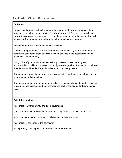# <span id="page-7-0"></span>**Facilitating Citizen Engagement**

#### **Rationale**

Provide regular opportunities for community engagement through the use of citizens' juries and committees under Section 86 (where appropriate) to advise council, and review decisions and performance in areas of major spending and planning. They will also review the formation and adherence to the annual council budget.

Citizens directly participating in council processes.

Greater engagement assists well-informed decision making by council and improves community confidence that Council is providing services in the best interests of all sections of the community.

Using citizens' juries and committees will improve council transparency and accountability. It will also increase community knowledge about the role of council and their decisions. The role of specific juries should be clearly defined.

The community consultation process will also include opportunities for submissions to council juries and committees.

This engagement allows the community to liaise with councillors in delegated decision making on specific issues and may increase the pool of candidates for future council roles.

#### **Principles this links to**

Accountability, transparency and good governance.

A just and inclusive democracy, that are less likely to have a conflict of interests.

Inclusiveness of minority groups in decision making in government.

Accountability of council to the community.

Transparency of local government processes and decisions.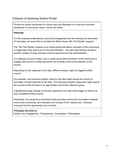# <span id="page-8-0"></span>**Citizens of Geelong Online Portal**

Provide an online mechanism for citizen input and feedback to to improve councillor awareness of community values, issues and ideas.

#### **Rationale**

For the purposes engendering community engagement and the sharing and discussion of new ideas, we would like to emulate the White House "We The People" program.

The "We The People" program is an online portal that allows members of the community to lodge ideas they wish to put to the administration. Any idea that receives at least a specific number of votes requires a formal response from the administration.

In a Geelong Council context, such a portal would allow members of the community to engage with council on ideas that would not normally come to the attention of the council.

Depending on the response to the idea, different actions might be triggered within council.

For example, one thousand positive votes for the idea might require the council to formulate a formal response to the idea. Five thousand positive responses might require the council to take the idea to an appropriate community reference group.

A significantly large enough community response to an idea could trigger an idea to be fully considered before council.

Essentially, this would be a mechanism that promotes community consultation between council and community, and maintains the concept of the "citizens jury", because everyone has the opportunity to be involved.

#### **Principles this links to**

Citizen Jury, Engagement, Transparency, Consultation, Participation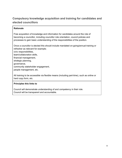# <span id="page-9-0"></span>**Compulsory knowledge acquisition and training for candidates and elected councillors**

#### **Rationale**

Free acquisition of knowledge and information for candidates around the role of becoming a councillor, including councillor role orientation, council policies and processes to gain basic understanding of the responsibilities of the position.

Once a councillor is elected this should include mandated on-going/annual training or refresher as relevant for example; civic responsibilities,

team/collaboration skills, financial management, strategic planning, governance, community stakeholder engagement, people management, etc.

All training to be accessible via flexible means (including part-time), such as online or hard copy form, etc.

#### **Principles this links to**

Council will demonstrate understanding of and competency in their role. Council will be transparent and accountable.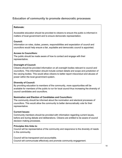## <span id="page-10-0"></span>**Education of community to promote democratic processes**

#### **Rationale:**

Accessible education should be provided to citizens to ensure the public is informed in matters of local government and to ensure democratic representation.

#### **Council:**

Information on roles, duties, powers, responsibilities and expectation of council and councillors would help ensure a fair, equitable and democratic council is appointed.

#### **Access to Councillors:**

The public should be made aware of how to contact and engage with their representative.

#### **Oversight of Council:**

Citizens should be provided information on all oversight bodies relevant to council and councillors. This information should include contact details and scope and jurisdiction of the varying bodies. This would allow citizens to better report misconduct and abuses of power within the local government system.

#### **Diversity of Council:**

By providing education to members of the community, more opportunities will be available for members of the public to run for local council thus increasing the diversity of council candidates and councillors.

#### **Nomination and Election of Candidates and Councillors:**

The community should be informed about the nomination and electoral processes of councillors. This would allow the community to better democratically vote for their representative.

#### **Current Issues:**

Community members should be provided with information regarding current issues, before and during debate and deliberations. Citizens are entitled to be aware of council decision making processes.

#### **Principles this links to**:

Council will be representative of the community and responsive to the diversity of needs in the community.

Council will be transparent and accountable. Council will communicate effectively and promote community engagement.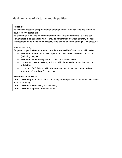## <span id="page-11-0"></span>**Maximum size of Victorian municipalities**

#### **Rationale**

To minimise disparity of representation among different municipalities and to ensure councils don't get too big.

To distinguish local level government from higher-level government, i.e. state etc. Fewer larger multi councillor wards, provide compromise between diversity of local representation and focus on municipality wide issues, ensuring strategic view of issues

This may occur by:

Proposed upper limit on number of councillors and resident/voter to councillor ratio

- Maximum number of councillors per municipality be increased from 12 to 15 (including mayor)
- Maximum resident/ratepayer to councillor ratio be limited
- If maximum resident/ratepayer to councillor is exceeded, municipality to be subdivided
- If number of COGG councillors is increased to 15, then recommended ward structure is 5 wards of 3 councillors.

#### **Principles this links to**

Council will be representative of the community and responsive to the diversity of needs in the community.

Council will operate effectively and efficiently Council will be transparent and accountable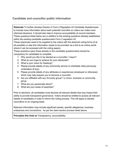# <span id="page-12-0"></span>**Candidate and councillor public information**

**Rationale** To further develop Division 4 Form 2 Regulation 43 Candidate Questionnaire to include more information about each potential councillor so voters can make more informed decisions. It should also help to improve accountability of council members. These questions listed below are in addition to the existing questions already established within the existing candidate questionnaire Form 2 regulation 43.

These responses need to be supplied to the voters with the electoral voting forms (if at all possible) or else this information needs to be provided via a link to an online portal where it can be accessed with the voting papers.

These questions (plus those already in the candidate questionnaire) should be compulsory for candidates to complete.

- 1. Why would you like to be elected as a councillor / mayor?
- 2. What do you hope to achieve for your electorate?
- 3. What is your vision for Geelong?
- 4. Please provide details of any community service or charitable roles previously undertaken (if any)
- 5. Please provide details of any attributes or experiences (employed or otherwise) which may help prepare you to become a councillor
- 6. Are you affiliated with any 3rd party group? i.e Union, business or community group
- 7. What are you passionate about?
- 8. What are your areas of expertise?

Prior to elections, all candidates must disclose all relevant details that may impact their ability to provide transparent governance. Voters should be entitled to access all *relevant* details of candidates in order to inform the voting process. This will apply to elected councillors on an ongoing basis.

Relevant information may include significant assets, specific allegiances, business enterprises and connections. As per the client section process listed above.

**Principles this links to** Transparency, accountability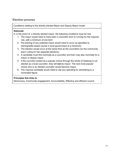## <span id="page-13-0"></span>**Election process**

Conditions relating to the directly elected Mayor and Deputy Mayor model

#### **Rationale**

If, in the event of, a directly elected mayor, the following conditions must be met:

- 1. The mayor would need to have been a councillor prior to running for the mayoral role, with a minimum of one term
- 2. Pre-training of any potential mayor would need to occur as specified (a training/skills based course in local government at a minimum)
- 3. The election would occur at the same time as the councillors (so the community aren't voting for two separate elections)
- 4. A candidate must first nominate as a councillor and then may also nominate for a mayor or deputy mayor.
- 5. If the councillor picked as a popular choice through the whole of Geelong is not elected as a local councillor, they will **not** be mayor. The next most popular choice who is an elected councillor would become mayor.
- 6. The mayoral candidate would need to cap any spending for advertising to a nominated figure.

#### **Principles this links to**

Democracy, Community engagement, Accountability, Effective and efficient council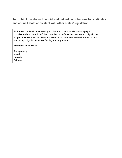<span id="page-14-0"></span>**To prohibit developer financial and in-kind contributions to candidates and council staff, consistent with other states' legislation.**

**Rationale:** If a developer/interest group funds a councillor's election campaign, or provides funds to council staff, that councillor or staff member may feel an obligation to support the developer's building application. Also, councillors and staff should have a mandatory obligation to declare funding from any source.

#### **Principles this links to**

**Transparency** Integrity Honesty Fairness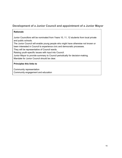### <span id="page-15-0"></span>**Development of a Junior Council and appointment of a Junior Mayor**

#### **Rationale**

Junior Councillors will be nominated from Years 10, 11, 12 students from local private and public schools.

The Junior Council will enable young people who might have otherwise not known or been interested in Council to experience civic and democratic processes.

They will be representative of Council wards.

Raising youth-specific issues with input into Council.

Junior Mayor to provide summary to Council periodically for decision-making. Mandate for Junior Council should be clear.

#### **Principles this links to**

Community representation Community engagement and education